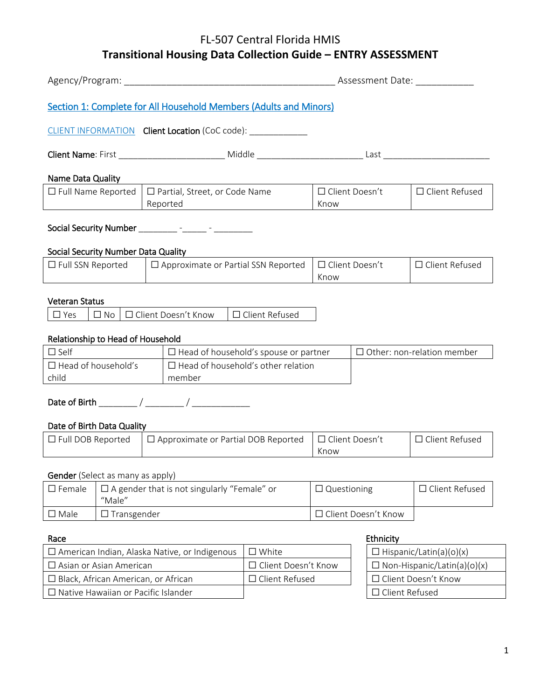# FL-507 Central Florida HMIS **Transitional Housing Data Collection Guide – ENTRY ASSESSMENT**

| Agency/Program: Agency/Program:                                        |                                                              |  |                                                                   |                                |                       | Assessment Date:                  |
|------------------------------------------------------------------------|--------------------------------------------------------------|--|-------------------------------------------------------------------|--------------------------------|-----------------------|-----------------------------------|
|                                                                        |                                                              |  | Section 1: Complete for All Household Members (Adults and Minors) |                                |                       |                                   |
|                                                                        |                                                              |  | CLIENT INFORMATION Client Location (CoC code): ___________        |                                |                       |                                   |
|                                                                        |                                                              |  |                                                                   |                                |                       |                                   |
| Name Data Quality                                                      |                                                              |  |                                                                   |                                |                       |                                   |
| $\Box$ Full Name Reported                                              |                                                              |  | □ Partial, Street, or Code Name<br>Reported                       | Know                           | □ Client Doesn't      | □ Client Refused                  |
|                                                                        |                                                              |  | Social Security Number __________ - ______ - ________             |                                |                       |                                   |
| Social Security Number Data Quality                                    |                                                              |  |                                                                   |                                |                       |                                   |
| $\Box$ Full SSN Reported                                               |                                                              |  | □ Approximate or Partial SSN Reported                             | Know                           | □ Client Doesn't      | $\Box$ Client Refused             |
| <b>Veteran Status</b>                                                  |                                                              |  |                                                                   |                                |                       |                                   |
| $\square$ Yes                                                          | $\square$ No                                                 |  | □ Client Doesn't Know<br>□ Client Refused                         |                                |                       |                                   |
| Relationship to Head of Household                                      |                                                              |  |                                                                   |                                |                       |                                   |
| $\Box$ Self                                                            |                                                              |  | $\Box$ Head of household's spouse or partner                      |                                |                       | $\Box$ Other: non-relation member |
| $\Box$ Head of household's<br>child                                    |                                                              |  | $\Box$ Head of household's other relation<br>member               |                                |                       |                                   |
|                                                                        |                                                              |  |                                                                   |                                |                       |                                   |
| Date of Birth Data Quality                                             |                                                              |  |                                                                   |                                |                       |                                   |
| $\Box$ Approximate or Partial DOB Reported<br>$\Box$ Full DOB Reported |                                                              |  | Know                                                              | □ Client Doesn't               | $\Box$ Client Refused |                                   |
| Gender (Select as many as apply)                                       |                                                              |  |                                                                   |                                |                       |                                   |
| $\square$ Female                                                       | $\Box$ A gender that is not singularly "Female" or<br>"Male" |  |                                                                   | $\Box$ Questioning             |                       | □ Client Refused                  |
| $\square$ Male                                                         | $\Box$ Transgender                                           |  |                                                                   |                                | □ Client Doesn't Know |                                   |
| Ethnicity<br>Race                                                      |                                                              |  |                                                                   |                                |                       |                                   |
| □ White<br>□ American Indian, Alaska Native, or Indigenous             |                                                              |  |                                                                   | $\Box$ Hispanic/Latin(a)(o)(x) |                       |                                   |

| $\Box$ American Indian, Alaska Native, or Indigenous | $\square$ White            | $\Box$ Hispanic/Latin(a)(o)(x)     |
|------------------------------------------------------|----------------------------|------------------------------------|
| $\Box$ Asian or Asian American                       | $\Box$ Client Doesn't Know | $\Box$ Non-Hispanic/Latin(a)(o)(x) |
| $\Box$ Black, African American, or African           | $\Box$ Client Refused      | □ Client Doesn't Know              |
| $\Box$ Native Hawaiian or Pacific Islander           |                            | $\Box$ Client Refused              |

| $\Box$ Hispanic/Latin(a)(o)(x)     |  |  |
|------------------------------------|--|--|
| $\Box$ Non-Hispanic/Latin(a)(o)(x) |  |  |
| $\Box$ Client Doesn't Know         |  |  |
| $\Box$ Client Refused              |  |  |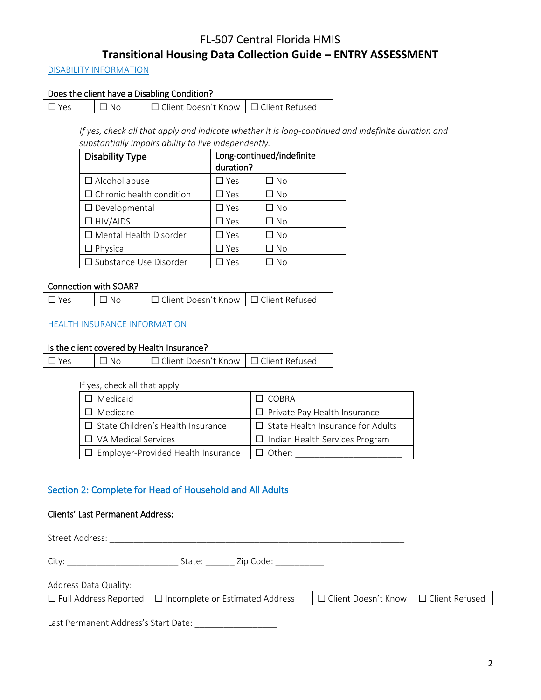# FL-507 Central Florida HMIS **Transitional Housing Data Collection Guide – ENTRY ASSESSMENT**

# DISABILITY INFORMATION

# Does the client have a Disabling Condition?

| $\Box$ Yes | $\Box$ No | □ Client Doesn't Know   □ Client Refused |  |
|------------|-----------|------------------------------------------|--|
|            |           |                                          |  |

*If yes, check all that apply and indicate whether it is long-continued and indefinite duration and substantially impairs ability to live independently.*

| <b>Disability Type</b>          | duration?     | Long-continued/indefinite |
|---------------------------------|---------------|---------------------------|
| $\Box$ Alcohol abuse            | $\square$ Yes | □ No                      |
| $\Box$ Chronic health condition | $\Box$ Yes    | □ No                      |
| $\Box$ Developmental            | $\Box$ Yes    | ⊐ No                      |
| $\Box$ HIV/AIDS                 | $\square$ Yes | □ No                      |
| $\Box$ Mental Health Disorder   | $\square$ Yes | □ No                      |
| $\Box$ Physical                 | $\square$ Yes | ∩ No                      |
| □ Substance Use Disorder        | Yes           | Nο                        |

## Connection with SOAR?

| $\Box$ Yes | $\Box$ No | □ Client Doesn't Know   □ Client Refused |  |
|------------|-----------|------------------------------------------|--|
|------------|-----------|------------------------------------------|--|

## HEALTH INSURANCE INFORMATION

#### Is the client covered by Health Insurance?

| $\Box$ Yes | $\Box$ No | □ Client Doesn't Know   □ Client Refused |  |
|------------|-----------|------------------------------------------|--|
|------------|-----------|------------------------------------------|--|

#### If yes, check all that apply

| $\Box$ Medicaid                           | T COBRA                                  |
|-------------------------------------------|------------------------------------------|
| $\Box$ Medicare                           | $\Box$ Private Pay Health Insurance      |
| $\Box$ State Children's Health Insurance  | $\Box$ State Health Insurance for Adults |
| $\Box$ VA Medical Services                | $\Box$ Indian Health Services Program    |
| $\Box$ Employer-Provided Health Insurance | $\Box$ Other:                            |

# Section 2: Complete for Head of Household and All Adults

## Clients' Last Permanent Address:

Street Address: \_\_\_\_\_\_\_\_\_\_\_\_\_\_\_\_\_\_\_\_\_\_\_\_\_\_\_\_\_\_\_\_\_\_\_\_\_\_\_\_\_\_\_\_\_\_\_\_\_\_\_\_\_\_\_\_\_\_\_\_\_

City: \_\_\_\_\_\_\_\_\_\_\_\_\_\_\_\_\_\_\_\_\_\_\_ State: \_\_\_\_\_\_ Zip Code: \_\_\_\_\_\_\_\_\_\_

# Address Data Quality:

| $\Box$ Full Address Reported $\Box$ Incomplete or Estimated Address | │□ Client Doesn't Know │□ Client Refused |  |
|---------------------------------------------------------------------|------------------------------------------|--|
|---------------------------------------------------------------------|------------------------------------------|--|

Last Permanent Address's Start Date: \_\_\_\_\_\_\_\_\_\_\_\_\_\_\_\_\_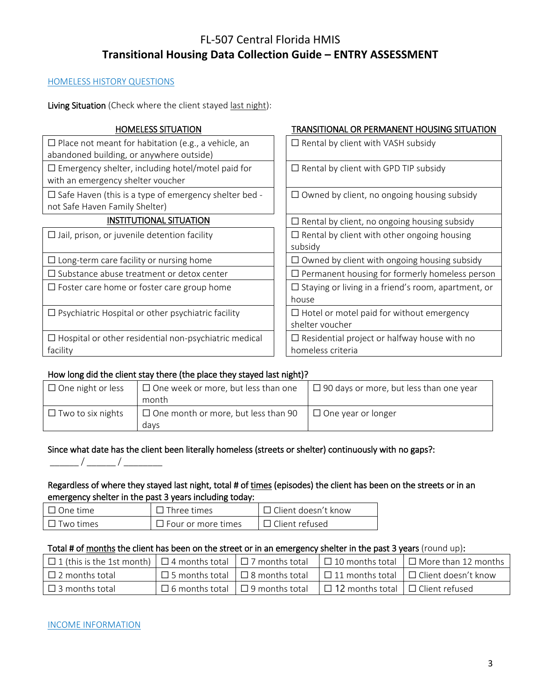# FL-507 Central Florida HMIS **Transitional Housing Data Collection Guide – ENTRY ASSESSMENT**

# HOMELESS HISTORY QUESTIONS

Living Situation (Check where the client stayed last night):

| <b>HOMELESS SITUATION</b>                                                                              | TRANSITIONAL OR PERMANENT HOUSING SITUATION                              |
|--------------------------------------------------------------------------------------------------------|--------------------------------------------------------------------------|
| $\Box$ Place not meant for habitation (e.g., a vehicle, an<br>abandoned building, or anywhere outside) | $\Box$ Rental by client with VASH subsidy                                |
| $\Box$ Emergency shelter, including hotel/motel paid for<br>with an emergency shelter voucher          | $\Box$ Rental by client with GPD TIP subsidy                             |
| $\Box$ Safe Haven (this is a type of emergency shelter bed -<br>not Safe Haven Family Shelter)         | $\Box$ Owned by client, no ongoing housing subsidy                       |
| <b>INSTITUTIONAL SITUATION</b>                                                                         | $\Box$ Rental by client, no ongoing housing subsidy                      |
| $\Box$ Jail, prison, or juvenile detention facility                                                    | $\Box$ Rental by client with other ongoing housing<br>subsidy            |
| $\Box$ Long-term care facility or nursing home                                                         | $\Box$ Owned by client with ongoing housing subsidy                      |
| $\Box$ Substance abuse treatment or detox center                                                       | $\Box$ Permanent housing for formerly homeless person                    |
| $\Box$ Foster care home or foster care group home                                                      | $\Box$ Staying or living in a friend's room, apartment, or<br>house      |
| $\Box$ Psychiatric Hospital or other psychiatric facility                                              | $\Box$ Hotel or motel paid for without emergency<br>shelter voucher      |
| $\Box$ Hospital or other residential non-psychiatric medical<br>facility                               | $\Box$ Residential project or halfway house with no<br>homeless criteria |

# How long did the client stay there (the place they stayed last night)?

| $\Box$ One night or less | $\Box$ One week or more, but less than one | $\Box$ 90 days or more, but less than one year |  |  |
|--------------------------|--------------------------------------------|------------------------------------------------|--|--|
|                          | month                                      |                                                |  |  |
| $\Box$ Two to six nights | $\Box$ One month or more, but less than 90 | $\Box$ One year or longer                      |  |  |
|                          | davs                                       |                                                |  |  |

# Since what date has the client been literally homeless (streets or shelter) continuously with no gaps?:

# Regardless of where they stayed last night, total # of times (episodes) the client has been on the streets or in an emergency shelter in the past 3 years including today:

| l One time.            | <b>11 Three times</b>     | $\Box$ Client doesn't know |
|------------------------|---------------------------|----------------------------|
| <sup>¬</sup> Two times | $\Box$ Four or more times | $\Box$ Client refused      |

## Total # of months the client has been on the street or in an emergency shelter in the past 3 years (round up):

| │ □ 1 (this is the 1st month) │ □ 4 months total │ □ 7 months total │ □ 10 months total │ □ More than 12 months │ |                                                    |                                              |                                                                                               |
|-------------------------------------------------------------------------------------------------------------------|----------------------------------------------------|----------------------------------------------|-----------------------------------------------------------------------------------------------|
| $\Box$ 2 months total                                                                                             |                                                    |                                              | $\Box$ 5 months total $\Box$ 8 months total $\Box$ 11 months total $\Box$ Client doesn't know |
| $\Box$ 3 months total                                                                                             | $\Box$ 6 months total $\Box$ 9 months total $\Box$ | $\Box$ 12 months total $\Box$ Client refused |                                                                                               |